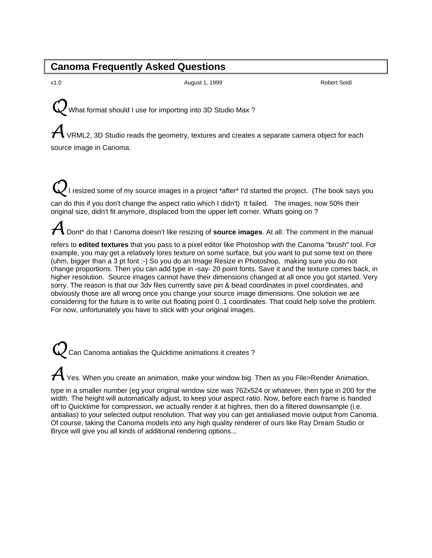#### **Canoma Frequently Asked Questions**

v1.0 **August 1, 1999 Robert Seidl** Robert Seidl **Robert Seidl** Robert Seidl Robert Seidl Robert Seidl Robert Seidl Robert Seidl Robert Seidl Robert Seidl Robert Seidl Robert Seidl Robert Seidl Robert Seidl Robert Seidl R

What format should I use for importing into 3D Studio Max ?

 $\boldsymbol{\mathcal{H}}$  VRML2, 3D Studio reads the geometry, textures and creates a separate camera object for each source image in Canoma.

I resized some of my source images in a project \*after\* I'd started the project. (The book says you can do this if you don't change the aspect ratio which I didn't) It failed. The images, now 50% their original size, didn't fit anymore, displaced from the upper left corner. Whats going on ?

A Dont\* do that ! Canoma doesn't like resizing of **source images**. At all. The comment in the manual

refers to **edited textures** that you pass to a pixel editor like Photoshop with the Canoma "brush" tool. For example, you may get a relatively lores texture on some surface, but you want to put some text on there (uhm, bigger than a 3 pt font :-) So you do an Image Resize in Photoshop, making sure you do not change proportions. Then you can add type in -say- 20 point fonts. Save it and the texture comes back, in higher resolution. Source images cannot have their dimensions changed at all once you got started. Very sorry. The reason is that our 3dv files currently save pin & bead coordinates in pixel coordinates, and obviously those are all wrong once you change your source image dimensions. One solution we are considering for the future is to write out floating point 0..1 coordinates. That could help solve the problem. For now, unfortunately you have to stick with your original images.

Can Canoma antialias the Quicktime animations it creates ?

Yes. When you create an animation, make your window big. Then as you File>Render Animation,

type in a smaller number (eg your original window size was 762x524 or whatever, then type in 200 for the width. The height will automatically adjust, to keep your aspect ratio. Now, before each frame is handed off to Quicktime for compression, we actually render it at highres, then do a filtered downsample (i.e. antialias) to your selected output resolution. That way you can get antialiased movie output from Canoma. Of course, taking the Canoma models into any high quality renderer of ours like Ray Dream Studio or Bryce will give you all kinds of additional rendering options...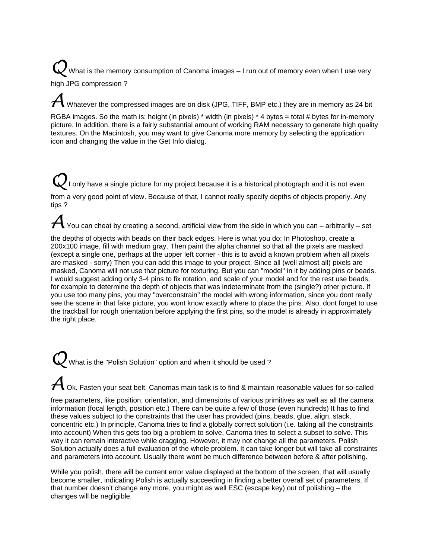What is the memory consumption of Canoma images – I run out of memory even when I use very high JPG compression ?

Whatever the compressed images are on disk (JPG, TIFF, BMP etc.) they are in memory as 24 bit

RGBA images. So the math is: height (in pixels) \* width (in pixels) \* 4 bytes = total # bytes for in-memory picture. In addition, there is a fairly substantial amount of working RAM necessary to generate high quality textures. On the Macintosh, you may want to give Canoma more memory by selecting the application icon and changing the value in the Get Info dialog.

only have a single picture for my project because it is a historical photograph and it is not even from a very good point of view. Because of that, I cannot really specify depths of objects properly. Any tips ?

You can cheat by creating a second, artificial view from the side in which you can – arbitrarily – set

the depths of objects with beads on their back edges. Here is what you do: In Photoshop, create a 200x100 image, fill with medium gray. Then paint the alpha channel so that all the pixels are masked (except a single one, perhaps at the upper left corner - this is to avoid a known problem when all pixels are masked - sorry) Then you can add this image to your project. Since all (well almost all) pixels are masked, Canoma will not use that picture for texturing. But you can "model" in it by adding pins or beads. I would suggest adding only 3-4 pins to fix rotation, and scale of your model and for the rest use beads, for example to determine the depth of objects that was indeterminate from the (single?) other picture. If you use too many pins, you may "overconstrain" the model with wrong information, since you dont really see the scene in that fake picture, you wont know exactly where to place the pins. Also, dont forget to use the trackball for rough orientation before applying the first pins, so the model is already in approximately the right place.

What is the "Polish Solution" option and when it should be used?

Ok. Fasten your seat belt. Canomas main task is to find & maintain reasonable values for so-called

free parameters, like position, orientation, and dimensions of various primitives as well as all the camera information (focal length, position etc.) There can be quite a few of those (even hundreds) It has to find these values subject to the constraints that the user has provided (pins, beads, glue, align, stack, concentric etc.) In principle, Canoma tries to find a globally correct solution (i.e. taking all the constraints into account) When this gets too big a problem to solve, Canoma tries to select a subset to solve. This way it can remain interactive while dragging. However, it may not change all the parameters. Polish Solution actually does a full evaluation of the whole problem. It can take longer but will take all constraints and parameters into account. Usually there wont be much difference between before & after polishing.

While you polish, there will be current error value displayed at the bottom of the screen, that will usually become smaller, indicating Polish is actually succeeding in finding a better overall set of parameters. If that number doesn't change any more, you might as well ESC (escape key) out of polishing – the changes will be negligible.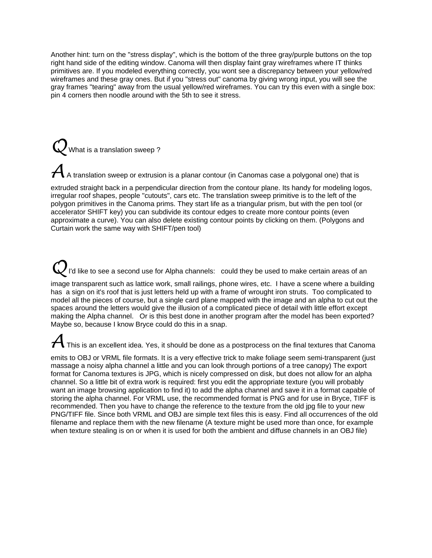Another hint: turn on the "stress display", which is the bottom of the three gray/purple buttons on the top right hand side of the editing window. Canoma will then display faint gray wireframes where IT thinks primitives are. If you modeled everything correctly, you wont see a discrepancy between your yellow/red wireframes and these gray ones. But if you "stress out" canoma by giving wrong input, you will see the gray frames "tearing" away from the usual yellow/red wireframes. You can try this even with a single box: pin 4 corners then noodle around with the 5th to see it stress.

What is a translation sweep?

A translation sweep or extrusion is a planar contour (in Canomas case a polygonal one) that is

extruded straight back in a perpendicular direction from the contour plane. Its handy for modeling logos, irregular roof shapes, people "cutouts", cars etc. The translation sweep primitive is to the left of the polygon primitives in the Canoma prims. They start life as a triangular prism, but with the pen tool (or accelerator SHIFT key) you can subdivide its contour edges to create more contour points (even approximate a curve). You can also delete existing contour points by clicking on them. (Polygons and Curtain work the same way with SHIFT/pen tool)

I'd like to see a second use for Alpha channels: could they be used to make certain areas of an

image transparent such as lattice work, small railings, phone wires, etc. I have a scene where a building has a sign on it's roof that is just letters held up with a frame of wrought iron struts. Too complicated to model all the pieces of course, but a single card plane mapped with the image and an alpha to cut out the spaces around the letters would give the illusion of a complicated piece of detail with little effort except making the Alpha channel. Or is this best done in another program after the model has been exported? Maybe so, because I know Bryce could do this in a snap.

This is an excellent idea. Yes, it should be done as a postprocess on the final textures that Canoma

emits to OBJ or VRML file formats. It is a very effective trick to make foliage seem semi-transparent (just massage a noisy alpha channel a little and you can look through portions of a tree canopy) The export format for Canoma textures is JPG, which is nicely compressed on disk, but does not allow for an alpha channel. So a little bit of extra work is required: first you edit the appropriate texture (you will probably want an image browsing application to find it) to add the alpha channel and save it in a format capable of storing the alpha channel. For VRML use, the recommended format is PNG and for use in Bryce, TIFF is recommended. Then you have to change the reference to the texture from the old jpg file to your new PNG/TIFF file. Since both VRML and OBJ are simple text files this is easy. Find all occurrences of the old filename and replace them with the new filename (A texture might be used more than once, for example when texture stealing is on or when it is used for both the ambient and diffuse channels in an OBJ file)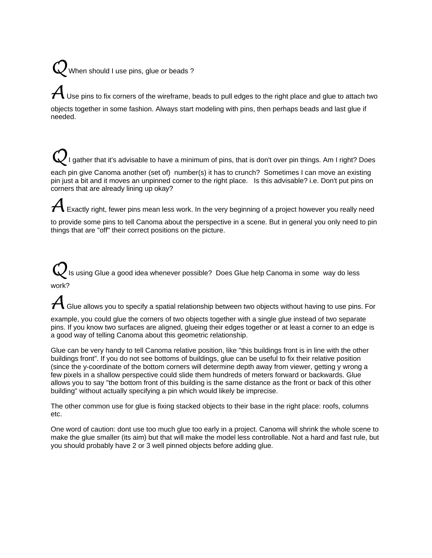# When should I use pins, glue or beads?

Use pins to fix corners of the wireframe, beads to pull edges to the right place and glue to attach two objects together in some fashion. Always start modeling with pins, then perhaps beads and last glue if needed.

I gather that it's advisable to have a minimum of pins, that is don't over pin things. Am I right? Does each pin give Canoma another (set of) number(s) it has to crunch? Sometimes I can move an existing pin just a bit and it moves an unpinned corner to the right place. Is this advisable? i.e. Don't put pins on corners that are already lining up okay?

Exactly right, fewer pins mean less work. In the very beginning of a project however you really need

to provide some pins to tell Canoma about the perspective in a scene. But in general you only need to pin things that are "off" their correct positions on the picture.

Is using Glue a good idea whenever possible? Does Glue help Canoma in some way do less work?

Glue allows you to specify a spatial relationship between two objects without having to use pins. For

example, you could glue the corners of two objects together with a single glue instead of two separate pins. If you know two surfaces are aligned, glueing their edges together or at least a corner to an edge is a good way of telling Canoma about this geometric relationship.

Glue can be very handy to tell Canoma relative position, like "this buildings front is in line with the other buildings front". If you do not see bottoms of buildings, glue can be useful to fix their relative position (since the y-coordinate of the bottom corners will determine depth away from viewer, getting y wrong a few pixels in a shallow perspective could slide them hundreds of meters forward or backwards. Glue allows you to say "the bottom front of this building is the same distance as the front or back of this other building" without actually specifying a pin which would likely be imprecise.

The other common use for glue is fixing stacked objects to their base in the right place: roofs, columns etc.

One word of caution: dont use too much glue too early in a project. Canoma will shrink the whole scene to make the glue smaller (its aim) but that will make the model less controllable. Not a hard and fast rule, but you should probably have 2 or 3 well pinned objects before adding glue.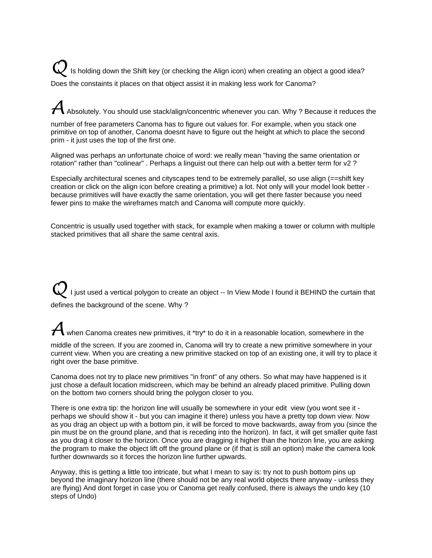Is holding down the Shift key (or checking the Align icon) when creating an object a good idea? Does the constaints it places on that object assist it in making less work for Canoma?

Absolutely. You should use stack/align/concentric whenever you can. Why ? Because it reduces the

number of free parameters Canoma has to figure out values for. For example, when you stack one primitive on top of another, Canoma doesnt have to figure out the height at which to place the second prim - it just uses the top of the first one.

Aligned was perhaps an unfortunate choice of word: we really mean "having the same orientation or rotation" rather than "colinear" . Perhaps a linguist out there can help out with a better term for v2 ?

Especially architectural scenes and cityscapes tend to be extremely parallel, so use align (==shift key creation or click on the align icon before creating a primitive) a lot. Not only will your model look better because primitives will have exactly the same orientation, you will get there faster because you need fewer pins to make the wireframes match and Canoma will compute more quickly.

Concentric is usually used together with stack, for example when making a tower or column with multiple stacked primitives that all share the same central axis.

I just used a vertical polygon to create an object -- In View Mode I found it BEHIND the curtain that defines the background of the scene. Why ?

### when Canoma creates new primitives, it \*try\* to do it in a reasonable location, somewhere in the

middle of the screen. If you are zoomed in, Canoma will try to create a new primitive somewhere in your current view. When you are creating a new primitive stacked on top of an existing one, it will try to place it right over the base primitive.

Canoma does not try to place new primitives "in front" of any others. So what may have happened is it just chose a default location midscreen, which may be behind an already placed primitive. Pulling down on the bottom two corners should bring the polygon closer to you.

There is one extra tip: the horizon line will usually be somewhere in your edit view (you wont see it perhaps we should show it - but you can imagine it there) unless you have a pretty top down view. Now as you drag an object up with a bottom pin, it will be forced to move backwards, away from you (since the pin must be on the ground plane, and that is receding into the horizon). In fact, it will get smaller quite fast as you drag it closer to the horizon. Once you are dragging it higher than the horizon line, you are asking the program to make the object lift off the ground plane or (if that is still an option) make the camera look further downwards so it forces the horizon line further upwards.

Anyway, this is getting a little too intricate, but what I mean to say is: try not to push bottom pins up beyond the imaginary horizon line (there should not be any real world objects there anyway - unless they are flying) And dont forget in case you or Canoma get really confused, there is always the undo key (10 steps of Undo)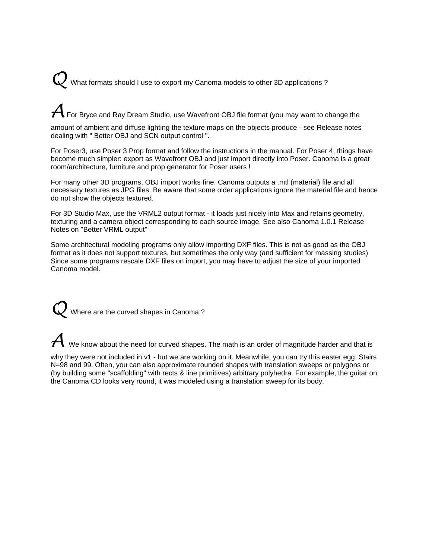What formats should I use to export my Canoma models to other 3D applications ?

 $\overline{\mathcal{A}}$  For Bryce and Ray Dream Studio, use Wavefront OBJ file format (you may want to change the

amount of ambient and diffuse lighting the texture maps on the objects produce - see Release notes dealing with " Better OBJ and SCN output control ".

For Poser3, use Poser 3 Prop format and follow the instructions in the manual. For Poser 4, things have become much simpler: export as Wavefront OBJ and just import directly into Poser. Canoma is a great room/architecture, furniture and prop generator for Poser users !

For many other 3D programs, OBJ import works fine. Canoma outputs a .mtl (material) file and all necessary textures as JPG files. Be aware that some older applications ignore the material file and hence do not show the objects textured.

For 3D Studio Max, use the VRML2 output format - it loads just nicely into Max and retains geometry, texturing and a camera object corresponding to each source image. See also Canoma 1.0.1 Release Notes on "Better VRML output"

Some architectural modeling programs only allow importing DXF files. This is not as good as the OBJ format as it does not support textures, but sometimes the only way (and sufficient for massing studies) Since some programs rescale DXF files on import, you may have to adjust the size of your imported Canoma model.

Where are the curved shapes in Canoma?

 ${\boldsymbol{\mathcal{A}}}$  We know about the need for curved shapes. The math is an order of magnitude harder and that is

why they were not included in v1 - but we are working on it. Meanwhile, you can try this easter egg: Stairs N=98 and 99. Often, you can also approximate rounded shapes with translation sweeps or polygons or (by building some "scaffolding" with rects & line primitives) arbitrary polyhedra. For example, the guitar on the Canoma CD looks very round, it was modeled using a translation sweep for its body.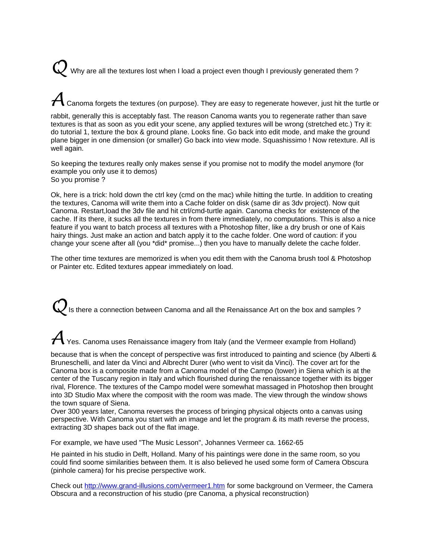Why are all the textures lost when I load a project even though I previously generated them?

## Canoma forgets the textures (on purpose). They are easy to regenerate however, just hit the turtle or

rabbit, generally this is acceptably fast. The reason Canoma wants you to regenerate rather than save textures is that as soon as you edit your scene, any applied textures will be wrong (stretched etc.) Try it: do tutorial 1, texture the box & ground plane. Looks fine. Go back into edit mode, and make the ground plane bigger in one dimension (or smaller) Go back into view mode. Squashissimo ! Now retexture. All is well again.

So keeping the textures really only makes sense if you promise not to modify the model anymore (for example you only use it to demos) So you promise ?

Ok, here is a trick: hold down the ctrl key (cmd on the mac) while hitting the turtle. In addition to creating the textures, Canoma will write them into a Cache folder on disk (same dir as 3dv project). Now quit Canoma. Restart,load the 3dv file and hit ctrl/cmd-turtle again. Canoma checks for existence of the cache. If its there, it sucks all the textures in from there immediately, no computations. This is also a nice feature if you want to batch process all textures with a Photoshop filter, like a dry brush or one of Kais hairy things. Just make an action and batch apply it to the cache folder. One word of caution: if you change your scene after all (you \*did\* promise...) then you have to manually delete the cache folder.

The other time textures are memorized is when you edit them with the Canoma brush tool & Photoshop or Painter etc. Edited textures appear immediately on load.

Is there a connection between Canoma and all the Renaissance Art on the box and samples ?

### ${\cal A}$  Yes. Canoma uses Renaissance imagery from Italy (and the Vermeer example from Holland)

because that is when the concept of perspective was first introduced to painting and science (by Alberti & Bruneschelli, and later da Vinci and Albrecht Durer (who went to visit da Vinci). The cover art for the Canoma box is a composite made from a Canoma model of the Campo (tower) in Siena which is at the center of the Tuscany region in Italy and which flourished during the renaissance together with its bigger rival, Florence. The textures of the Campo model were somewhat massaged in Photoshop then brought into 3D Studio Max where the composit with the room was made. The view through the window shows the town square of Siena.

Over 300 years later, Canoma reverses the process of bringing physical objects onto a canvas using perspective. With Canoma you start with an image and let the program & its math reverse the process, extracting 3D shapes back out of the flat image.

For example, we have used "The Music Lesson", Johannes Vermeer ca. 1662-65

He painted in his studio in Delft, Holland. Many of his paintings were done in the same room, so you could find soome similarities between them. It is also believed he used some form of Camera Obscura (pinhole camera) for his precise perspective work.

Check out http://www.grand-illusions.com/vermeer1.htm for some background on Vermeer, the Camera Obscura and a reconstruction of his studio (pre Canoma, a physical reconstruction)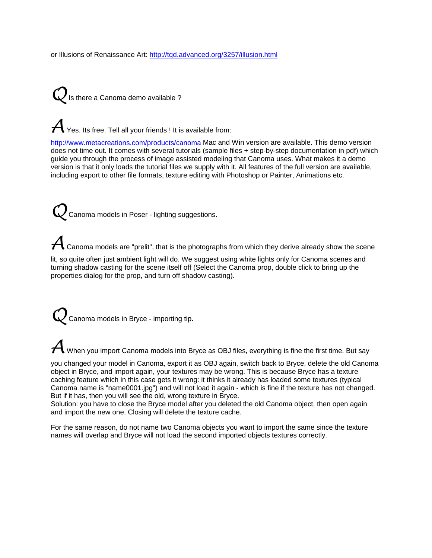or Illusions of Renaissance Art: http://tqd.advanced.org/3257/illusion.html

 $Q$  is there a Canoma demo available ?

 ${\cal A}$  Yes. Its free. Tell all your friends ! It is available from:

http://www.metacreations.com/products/canoma Mac and Win version are available. This demo version does not time out. It comes with several tutorials (sample files + step-by-step documentation in pdf) which guide you through the process of image assisted modeling that Canoma uses. What makes it a demo version is that it only loads the tutorial files we supply with it. All features of the full version are available, including export to other file formats, texture editing with Photoshop or Painter, Animations etc.

**Canoma models in Poser - lighting suggestions.** 

 $\blacklozenge$  Canoma models are "prelit", that is the photographs from which they derive already show the scene

lit, so quite often just ambient light will do. We suggest using white lights only for Canoma scenes and turning shadow casting for the scene itself off (Select the Canoma prop, double click to bring up the properties dialog for the prop, and turn off shadow casting).

Q Canoma models in Bryce - importing tip.

 ${\cal A}$  When you import Canoma models into Bryce as OBJ files, everything is fine the first time. But say

you changed your model in Canoma, export it as OBJ again, switch back to Bryce, delete the old Canoma object in Bryce, and import again, your textures may be wrong. This is because Bryce has a texture caching feature which in this case gets it wrong: it thinks it already has loaded some textures (typical Canoma name is "name0001.jpg") and will not load it again - which is fine if the texture has not changed. But if it has, then you will see the old, wrong texture in Bryce.

Solution: you have to close the Bryce model after you deleted the old Canoma object, then open again and import the new one. Closing will delete the texture cache.

For the same reason, do not name two Canoma objects you want to import the same since the texture names will overlap and Bryce will not load the second imported objects textures correctly.